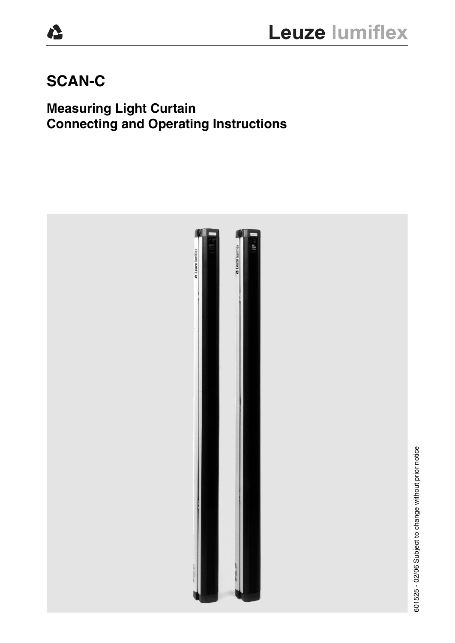# **SCAN-C**

Ŋ,

# **Measuring Light Curtain Connecting and Operating Instructions**

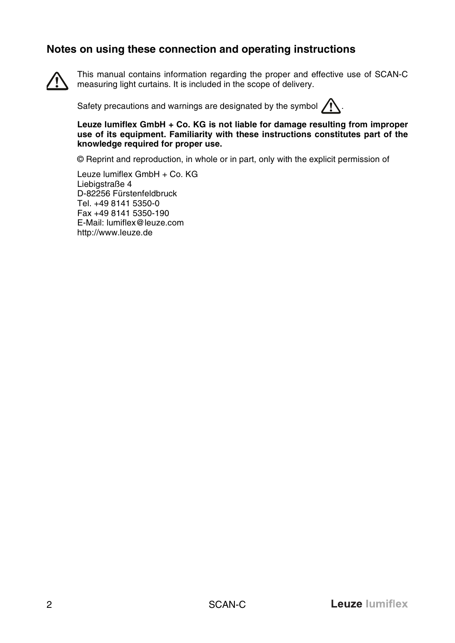### **Notes on using these connection and operating instructions**



This manual contains information regarding the proper and effective use of SCAN-C measuring light curtains. It is included in the scope of delivery.

Safety precautions and warnings are designated by the symbol  $\bigwedge$ .

**Leuze lumiflex GmbH + Co. KG is not liable for damage resulting from improper use of its equipment. Familiarity with these instructions constitutes part of the knowledge required for proper use.**

© Reprint and reproduction, in whole or in part, only with the explicit permission of

Leuze lumiflex GmbH + Co. KG Liebigstraße 4 D-82256 Fürstenfeldbruck Tel. +49 8141 5350-0 Fax +49 8141 5350-190 E-Mail: lumiflex@leuze.com http://www.leuze.de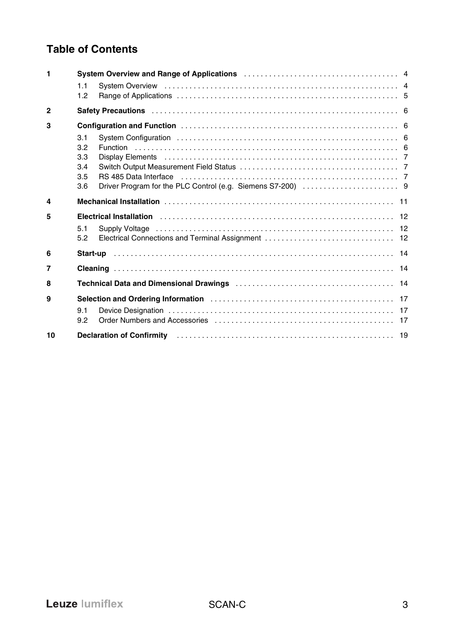# **Table of Contents**

| 1              |                                        | System Overview and Range of Applications <b>Constructs</b> 2001 Constructs 2004 of Applications 2004 and 2006 System Overview 2006                                                                                                                                                                                                                                                                                                                                      |  |
|----------------|----------------------------------------|--------------------------------------------------------------------------------------------------------------------------------------------------------------------------------------------------------------------------------------------------------------------------------------------------------------------------------------------------------------------------------------------------------------------------------------------------------------------------|--|
|                | 1.1<br>12                              |                                                                                                                                                                                                                                                                                                                                                                                                                                                                          |  |
| $\overline{2}$ |                                        |                                                                                                                                                                                                                                                                                                                                                                                                                                                                          |  |
| 3              |                                        |                                                                                                                                                                                                                                                                                                                                                                                                                                                                          |  |
|                | 3.1<br>3.2<br>3.3<br>3.4<br>3.5<br>3.6 | Display Elements (all contains and all contains and all contains a contact the contact term and a contact term of $7$<br>RS 485 Data Interface (all contains and contained all contains and contained all contains a set of the RS 485 Data Internal D                                                                                                                                                                                                                   |  |
| 4              |                                        |                                                                                                                                                                                                                                                                                                                                                                                                                                                                          |  |
| 5              |                                        | Electrical Installation (and according to the control of the control of the control of the control of the control of the control of the control of the control of the control of the control of the control of the control of                                                                                                                                                                                                                                            |  |
|                | 5.1<br>5.2                             |                                                                                                                                                                                                                                                                                                                                                                                                                                                                          |  |
| 6              |                                        |                                                                                                                                                                                                                                                                                                                                                                                                                                                                          |  |
| 7              |                                        |                                                                                                                                                                                                                                                                                                                                                                                                                                                                          |  |
| 8              |                                        |                                                                                                                                                                                                                                                                                                                                                                                                                                                                          |  |
| 9              | 9.1<br>9.2                             | Selection and Ordering Information (etc.) [17] Selection and Ordering Information (etc.) [17] Selection and Ordering Information                                                                                                                                                                                                                                                                                                                                         |  |
| 10             |                                        | <b>Declaration of Confirmity</b> ( <i>b)</i> ( <i>b)</i> ( <i>b</i> ) ( <i>b</i> ) ( <i>b</i> ) ( <i>b</i> ) ( <i>b</i> ) ( <i>b</i> ) ( <i>b</i> ) ( <i>b</i> ) ( <i>b</i> ) ( <i>b</i> ) ( <i>b</i> ) ( <i>b</i> ) ( <i>b</i> ) ( <i>b</i> ) ( <i>b</i> ) ( <i>b</i> ) ( <i>b</i> ) ( <i>b</i> ) ( <i>b</i> ) ( <i>b</i> ) ( <i>b</i> ) ( <i>b</i> ) ( <i>b</i> ) ( <i>b</i> ) ( <i>b</i> ) ( <i>b</i> ) ( <i>b</i> ) ( <i>b</i> ) ( <i>b</i> ) ( <i>b</i> ) ( <i></i> |  |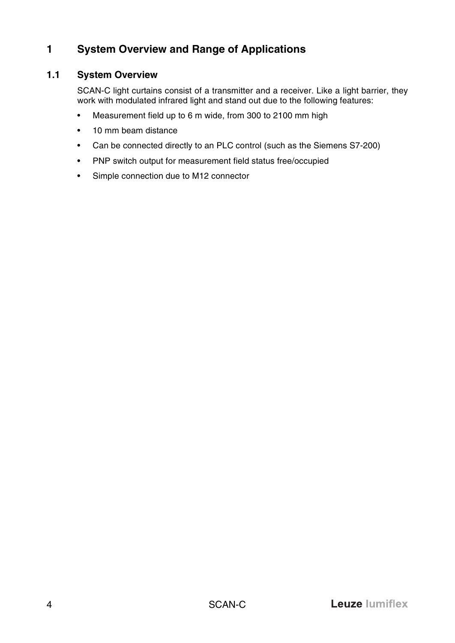# <span id="page-3-0"></span>**1 System Overview and Range of Applications**

#### <span id="page-3-1"></span>**1.1 System Overview**

SCAN-C light curtains consist of a transmitter and a receiver. Like a light barrier, they work with modulated infrared light and stand out due to the following features:

- Measurement field up to 6 m wide, from 300 to 2100 mm high
- 10 mm beam distance
- Can be connected directly to an PLC control (such as the Siemens S7-200)
- PNP switch output for measurement field status free/occupied
- Simple connection due to M12 connector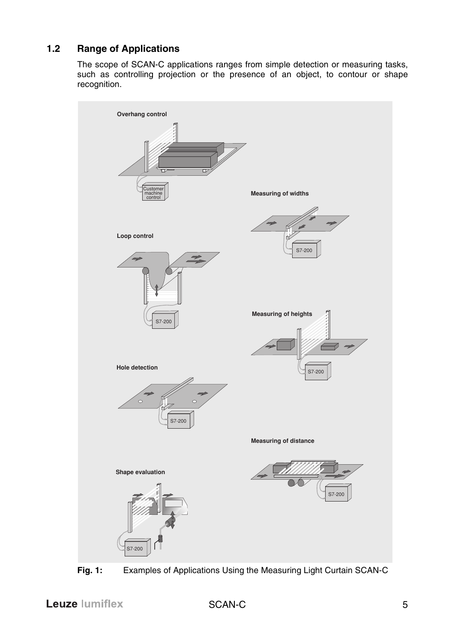# <span id="page-4-0"></span>**1.2 Range of Applications**

The scope of SCAN-C applications ranges from simple detection or measuring tasks, such as controlling projection or the presence of an object, to contour or shape recognition.



**Fig. 1:** Examples of Applications Using the Measuring Light Curtain SCAN-C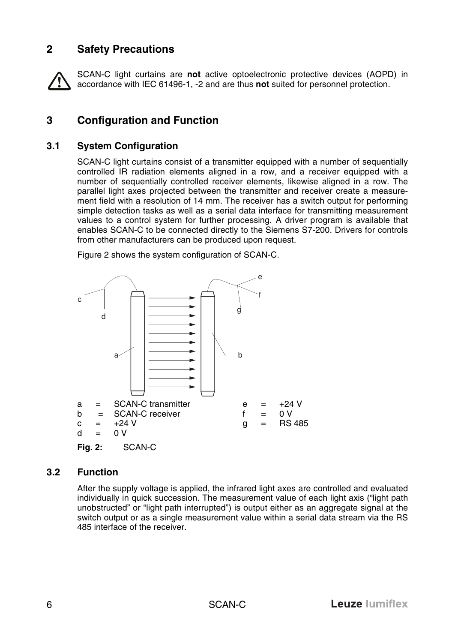# <span id="page-5-0"></span>**2 Safety Precautions**

SCAN-C light curtains are **not** active optoelectronic protective devices (AOPD) in accordance with IEC 61496-1, -2 and are thus **not** suited for personnel protection.

# <span id="page-5-1"></span>**3 Configuration and Function**

#### <span id="page-5-2"></span>**3.1 System Configuration**

SCAN-C light curtains consist of a transmitter equipped with a number of sequentially controlled IR radiation elements aligned in a row, and a receiver equipped with a number of sequentially controlled receiver elements, likewise aligned in a row. The parallel light axes projected between the transmitter and receiver create a measurement field with a resolution of 14 mm. The receiver has a switch output for performing simple detection tasks as well as a serial data interface for transmitting measurement values to a control system for further processing. A driver program is available that enables SCAN-C to be connected directly to the Siemens S7-200. Drivers for controls from other manufacturers can be produced upon request.



Figure [2](#page-5-4) shows the system configuration of SCAN-C.

### <span id="page-5-4"></span><span id="page-5-3"></span>**3.2 Function**

After the supply voltage is applied, the infrared light axes are controlled and evaluated individually in quick succession. The measurement value of each light axis ("light path unobstructed" or "light path interrupted") is output either as an aggregate signal at the switch output or as a single measurement value within a serial data stream via the RS 485 interface of the receiver.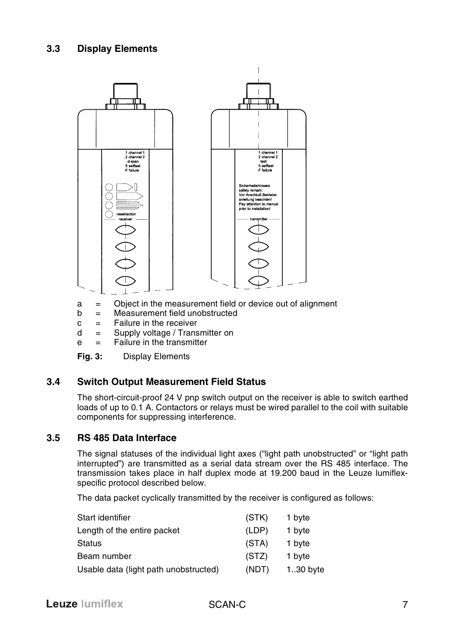<span id="page-6-0"></span>

- a = Object in the measurement field or device out of alignment
- b = Measurement field unobstructed
- $c =$  Failure in the receiver
- d = Supply voltage / Transmitter on
- e = Failure in the transmitter
- **Fig. 3:** Display Elements

#### <span id="page-6-1"></span>**3.4 Switch Output Measurement Field Status**

The short-circuit-proof 24 V pnp switch output on the receiver is able to switch earthed loads of up to 0.1 A. Contactors or relays must be wired parallel to the coil with suitable components for suppressing interference.

#### <span id="page-6-2"></span>**3.5 RS 485 Data Interface**

The signal statuses of the individual light axes ("light path unobstructed" or "light path interrupted") are transmitted as a serial data stream over the RS 485 interface. The transmission takes place in half duplex mode at 19.200 baud in the Leuze lumiflexspecific protocol described below.

The data packet cyclically transmitted by the receiver is configured as follows:

| Start identifier                      | (STK) | 1 byte      |
|---------------------------------------|-------|-------------|
| Length of the entire packet           | (LDP) | 1 byte      |
| <b>Status</b>                         | (STA) | 1 byte      |
| Beam number                           | (STZ) | 1 byte      |
| Usable data (light path unobstructed) | (NDT) | $1.30$ byte |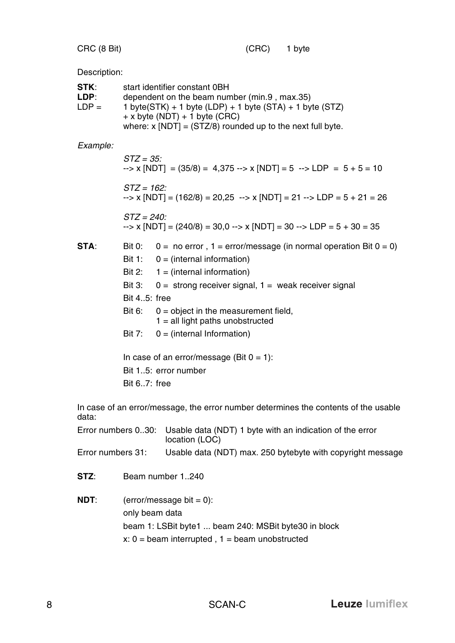CRC (8 Bit) (CRC) 1 byte

Description:

| STK:<br>LDP:<br>$LDP =$ |               | start identifier constant 0BH<br>dependent on the beam number (min.9, max.35)<br>1 byte( $STK$ ) + 1 byte (LDP) + 1 byte ( $STA$ ) + 1 byte ( $STZ$ )<br>$+ x$ byte (NDT) $+ 1$ byte (CRC)<br>where: $x$ [NDT] = (STZ/8) rounded up to the next full byte. |
|-------------------------|---------------|------------------------------------------------------------------------------------------------------------------------------------------------------------------------------------------------------------------------------------------------------------|
| Example:                |               |                                                                                                                                                                                                                                                            |
|                         | $STZ = 35$ :  | $\rightarrow$ x [NDT] = (35/8) = 4,375 --> x [NDT] = 5 --> LDP = 5 + 5 = 10                                                                                                                                                                                |
|                         | $STZ = 162$ : | $\rightarrow$ x [NDT] = (162/8) = 20,25 $\rightarrow$ x [NDT] = 21 $\rightarrow$ LDP = 5 + 21 = 26                                                                                                                                                         |
|                         | $STZ = 240$ : | $\rightarrow$ x [NDT] = (240/8) = 30,0 --> x [NDT] = 30 --> LDP = 5 + 30 = 35                                                                                                                                                                              |
| STA:                    | <b>Bit 0:</b> | $0 = no error$ , $1 = error/message$ (in normal operation Bit $0 = 0$ )                                                                                                                                                                                    |
|                         | Bit 1:        | $0 = (internal information)$                                                                                                                                                                                                                               |
|                         | <b>Bit 2:</b> | $1 = (internal information)$                                                                                                                                                                                                                               |
|                         | <b>Bit 3:</b> | $0 =$ strong receiver signal, $1 =$ weak receiver signal                                                                                                                                                                                                   |
|                         | Bit 45: free  |                                                                                                                                                                                                                                                            |
|                         | <b>Bit 6:</b> | $0 =$ object in the measurement field,<br>$1 =$ all light paths unobstructed                                                                                                                                                                               |
|                         | <b>Bit 7:</b> | $0 = (internal Information)$                                                                                                                                                                                                                               |
|                         |               | In case of an error/message (Bit $0 = 1$ ):                                                                                                                                                                                                                |
|                         |               | Bit 15: error number                                                                                                                                                                                                                                       |
|                         | Bit 67: free  |                                                                                                                                                                                                                                                            |
| data:                   |               | In case of an error/message, the error number determines the contents of the usable                                                                                                                                                                        |
| Error numbers 030:      |               | Usable data (NDT) 1 byte with an indication of the error<br>location (LOC)                                                                                                                                                                                 |
| Error numbers 31:       |               | Usable data (NDT) max. 250 bytebyte with copyright message                                                                                                                                                                                                 |
| STZ:                    |               | Beam number 1240                                                                                                                                                                                                                                           |

**NDT:** (error/message bit =  $0$ ): only beam data beam 1: LSBit byte1 ... beam 240: MSBit byte30 in block  $x: 0 =$  beam interrupted,  $1 =$  beam unobstructed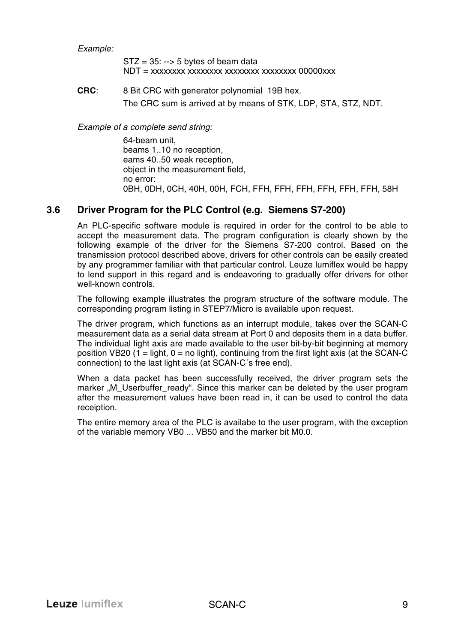*Example:*

 $STZ = 35$ : --> 5 bytes of beam data  $NDT = xxxxxxxxxxxxxxxxxxxxxxxxxxxxxx00000xxx$ 

**CRC**: 8 Bit CRC with generator polynomial 19B hex. The CRC sum is arrived at by means of STK, LDP, STA, STZ, NDT.

*Example of a complete send string:*

64-beam unit, beams 1..10 no reception, eams 40..50 weak reception, object in the measurement field, no error: 0BH, 0DH, 0CH, 40H, 00H, FCH, FFH, FFH, FFH, FFH, FFH, FFH, 58H

#### <span id="page-8-0"></span>**3.6 Driver Program for the PLC Control (e.g. Siemens S7-200)**

An PLC-specific software module is required in order for the control to be able to accept the measurement data. The program configuration is clearly shown by the following example of the driver for the Siemens S7-200 control. Based on the transmission protocol described above, drivers for other controls can be easily created by any programmer familiar with that particular control. Leuze lumiflex would be happy to lend support in this regard and is endeavoring to gradually offer drivers for other well-known controls.

The following example illustrates the program structure of the software module. The corresponding program listing in STEP7/Micro is available upon request.

The driver program, which functions as an interrupt module, takes over the SCAN-C measurement data as a serial data stream at Port 0 and deposits them in a data buffer. The individual light axis are made available to the user bit-by-bit beginning at memory position VB20 (1 = light,  $0 =$  no light), continuing from the first light axis (at the SCAN-C connection) to the last light axis (at SCAN-C´s free end).

When a data packet has been successfully received, the driver program sets the marker "M\_Userbuffer\_ready". Since this marker can be deleted by the user program after the measurement values have been read in, it can be used to control the data receiption.

The entire memory area of the PLC is availabe to the user program, with the exception of the variable memory VB0 ... VB50 and the marker bit M0.0.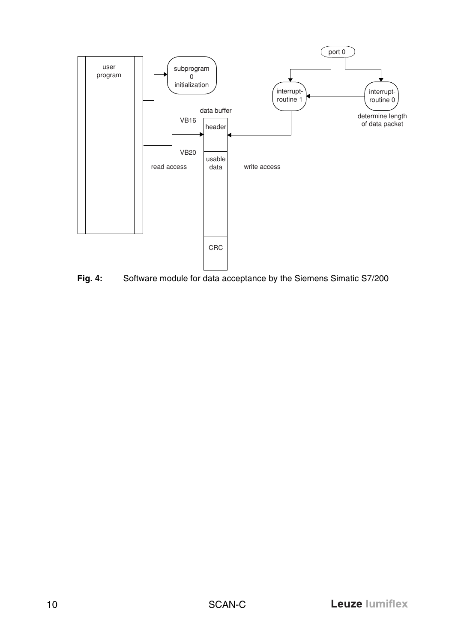

**Fig. 4:** Software module for data acceptance by the Siemens Simatic S7/200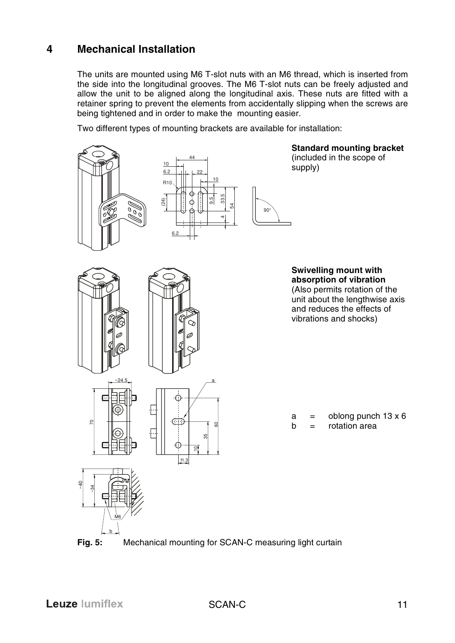# <span id="page-10-0"></span>**4 Mechanical Installation**

The units are mounted using M6 T-slot nuts with an M6 thread, which is inserted from the side into the longitudinal grooves. The M6 T-slot nuts can be freely adjusted and allow the unit to be aligned along the longitudinal axis. These nuts are fitted with a retainer spring to prevent the elements from accidentally slipping when the screws are being tightened and in order to make the mounting easier.

Two different types of mounting brackets are available for installation:



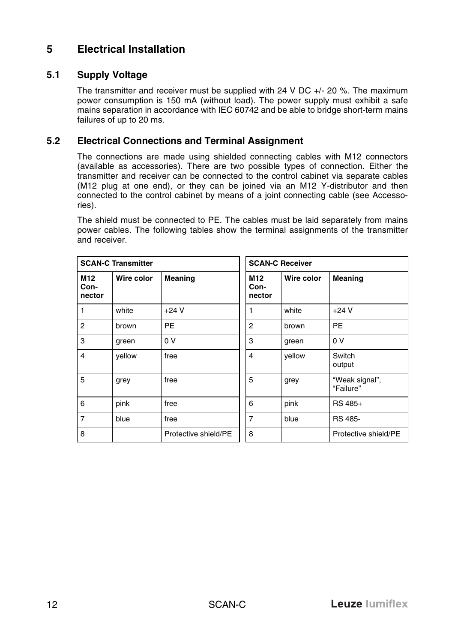# <span id="page-11-0"></span>**5 Electrical Installation**

#### <span id="page-11-1"></span>**5.1 Supply Voltage**

The transmitter and receiver must be supplied with 24 V DC +/- 20 %. The maximum power consumption is 150 mA (without load). The power supply must exhibit a safe mains separation in accordance with IEC 60742 and be able to bridge short-term mains failures of up to 20 ms.

#### <span id="page-11-2"></span>**5.2 Electrical Connections and Terminal Assignment**

The connections are made using shielded connecting cables with M12 connectors (available as accessories). There are two possible types of connection. Either the transmitter and receiver can be connected to the control cabinet via separate cables (M12 plug at one end), or they can be joined via an M12 Y-distributor and then connected to the control cabinet by means of a joint connecting cable (see Accessories).

The shield must be connected to PE. The cables must be laid separately from mains power cables. The following tables show the terminal assignments of the transmitter and receiver.

| <b>SCAN-C Transmitter</b> |            |                      | <b>SCAN-C Receiver</b> |            |                             |
|---------------------------|------------|----------------------|------------------------|------------|-----------------------------|
| M12<br>Con-<br>nector     | Wire color | Meaning              | M12<br>Con-<br>nector  | Wire color | <b>Meaning</b>              |
|                           | white      | $+24V$               |                        | white      | $+24V$                      |
| $\overline{2}$            | brown      | <b>PE</b>            | $\overline{2}$         | brown      | <b>PE</b>                   |
| 3                         | green      | 0 V                  | 3                      | green      | 0 <sup>V</sup>              |
| 4                         | yellow     | free                 | 4                      | yellow     | Switch<br>output            |
| 5                         | grey       | free                 | 5                      | grey       | "Weak signal",<br>"Failure" |
| 6                         | pink       | free                 | 6                      | pink       | RS 485+                     |
| $\overline{7}$            | blue       | free                 | $\overline{7}$         | blue       | RS 485-                     |
| 8                         |            | Protective shield/PE | 8                      |            | Protective shield/PE        |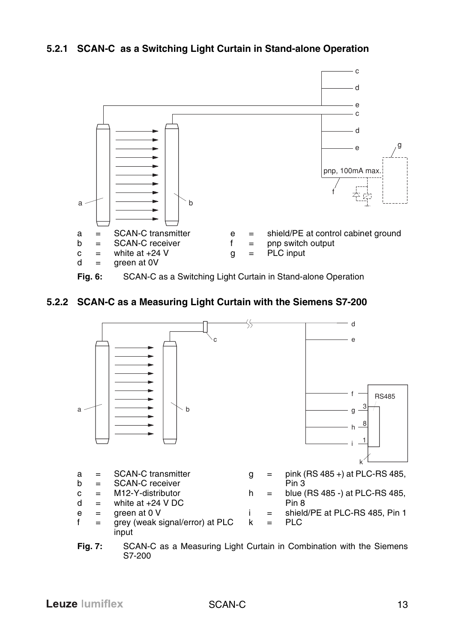#### **5.2.1 SCAN-C as a Switching Light Curtain in Stand-alone Operation**



#### **5.2.2 SCAN-C as a Measuring Light Curtain with the Siemens S7-200**



**Fig. 7:** SCAN-C as a Measuring Light Curtain in Combination with the Siemens S7-200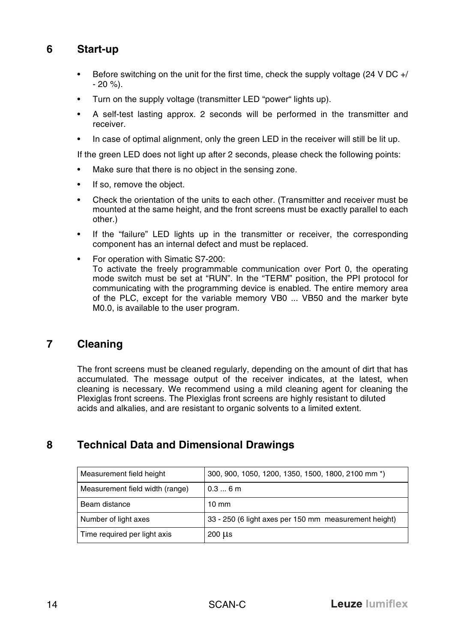# <span id="page-13-0"></span>**6 Start-up**

- Before switching on the unit for the first time, check the supply voltage (24 V DC +/ - 20 %).
- Turn on the supply voltage (transmitter LED "power" lights up).
- A self-test lasting approx. 2 seconds will be performed in the transmitter and receiver.
- In case of optimal alignment, only the green LED in the receiver will still be lit up.

If the green LED does not light up after 2 seconds, please check the following points:

- Make sure that there is no object in the sensing zone.
- If so, remove the object.
- Check the orientation of the units to each other. (Transmitter and receiver must be mounted at the same height, and the front screens must be exactly parallel to each other.)
- If the "failure" LED lights up in the transmitter or receiver, the corresponding component has an internal defect and must be replaced.
- For operation with Simatic S7-200: To activate the freely programmable communication over Port 0, the operating mode switch must be set at "RUN". In the "TERM" position, the PPI protocol for communicating with the programming device is enabled. The entire memory area of the PLC, except for the variable memory VB0 ... VB50 and the marker byte M0.0, is available to the user program.

### <span id="page-13-1"></span>**7 Cleaning**

The front screens must be cleaned regularly, depending on the amount of dirt that has accumulated. The message output of the receiver indicates, at the latest, when cleaning is necessary. We recommend using a mild cleaning agent for cleaning the Plexiglas front screens. The Plexiglas front screens are highly resistant to diluted acids and alkalies, and are resistant to organic solvents to a limited extent.

# <span id="page-13-2"></span>**8 Technical Data and Dimensional Drawings**

| Measurement field height        | 300, 900, 1050, 1200, 1350, 1500, 1800, 2100 mm *)    |
|---------------------------------|-------------------------------------------------------|
| Measurement field width (range) | 0.36m                                                 |
| Beam distance                   | $10 \text{ mm}$                                       |
| Number of light axes            | 33 - 250 (6 light axes per 150 mm measurement height) |
| Time required per light axis    | $200 \mu s$                                           |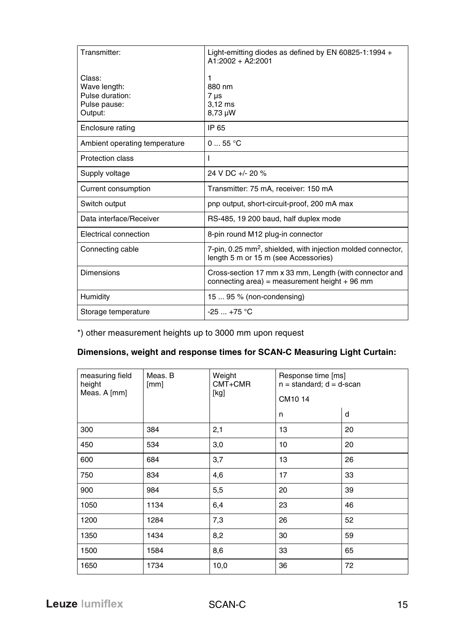| Transmitter:                                                         | Light-emitting diodes as defined by EN 60825-1:1994 +<br>$A1:2002 + A2:2001$                                     |
|----------------------------------------------------------------------|------------------------------------------------------------------------------------------------------------------|
| Class:<br>Wave length:<br>Pulse duration:<br>Pulse pause:<br>Output: | 1<br>880 nm<br>$7 \mu s$<br>$3,12$ ms<br>8,73 µW                                                                 |
| Enclosure rating                                                     | IP 65                                                                                                            |
| Ambient operating temperature                                        | 055 °C                                                                                                           |
| Protection class                                                     |                                                                                                                  |
| Supply voltage                                                       | 24 V DC +/- 20 %                                                                                                 |
| Current consumption                                                  | Transmitter: 75 mA, receiver: 150 mA                                                                             |
| Switch output                                                        | pnp output, short-circuit-proof, 200 mA max                                                                      |
| Data interface/Receiver                                              | RS-485, 19 200 baud, half duplex mode                                                                            |
| Electrical connection                                                | 8-pin round M12 plug-in connector                                                                                |
| Connecting cable                                                     | 7-pin, 0.25 mm <sup>2</sup> , shielded, with injection molded connector,<br>length 5 m or 15 m (see Accessories) |
| Dimensions                                                           | Cross-section 17 mm x 33 mm, Length (with connector and<br>connecting area) = measurement height $+96$ mm        |
| Humidity                                                             | 15  95 % (non-condensing)                                                                                        |
| Storage temperature                                                  | $-25$ $+75$ °C                                                                                                   |

\*) other measurement heights up to 3000 mm upon request

#### **Dimensions, weight and response times for SCAN-C Measuring Light Curtain:**

| measuring field<br>height<br>Meas. A [mm] | Meas. B<br>[mm] | Weight<br>$CMT + CMR$<br>[kg] | Response time [ms]<br>$n = standard$ ; $d = d$ -scan<br>CM10 14 |    |
|-------------------------------------------|-----------------|-------------------------------|-----------------------------------------------------------------|----|
|                                           |                 |                               | n                                                               | d  |
| 300                                       | 384             | 2,1                           | 13                                                              | 20 |
| 450                                       | 534             | 3,0                           | 10                                                              | 20 |
| 600                                       | 684             | 3,7                           | 13                                                              | 26 |
| 750                                       | 834             | 4,6                           | 17                                                              | 33 |
| 900                                       | 984             | 5,5                           | 20                                                              | 39 |
| 1050                                      | 1134            | 6,4                           | 23                                                              | 46 |
| 1200                                      | 1284            | 7,3                           | 26                                                              | 52 |
| 1350                                      | 1434            | 8,2                           | 30                                                              | 59 |
| 1500                                      | 1584            | 8,6                           | 33                                                              | 65 |
| 1650                                      | 1734            | 10,0                          | 36                                                              | 72 |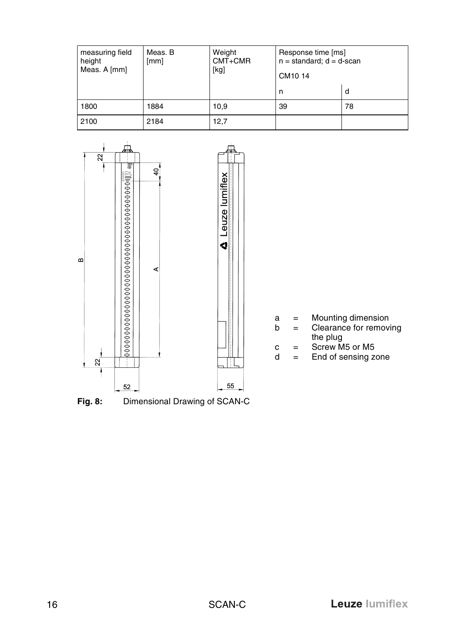| measuring field<br>height<br>Meas. A [mm] | Meas. B<br>[mm] | Weight<br>$CMT + CMR$<br>[kg] | Response time [ms]<br>$n = standard$ ; $d = d$ -scan<br>CM10 14 |    |
|-------------------------------------------|-----------------|-------------------------------|-----------------------------------------------------------------|----|
|                                           |                 |                               | n                                                               | d  |
| 1800                                      | 1884            | 10.9                          | 39                                                              | 78 |
| 2100                                      | 2184            | 12,7                          |                                                                 |    |

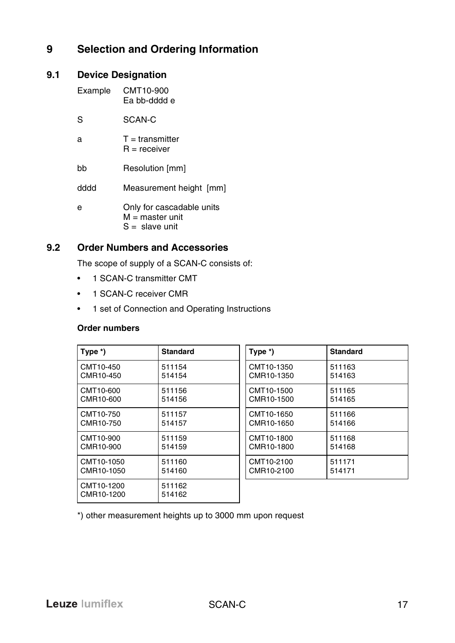# <span id="page-16-0"></span>**9 Selection and Ordering Information**

#### <span id="page-16-1"></span>**9.1 Device Designation**

| Example | CMT10-900<br>Fa bb-dddd e                                          |
|---------|--------------------------------------------------------------------|
| S       | SCAN-C                                                             |
| a       | $T =$ transmitter<br>$R =$ receiver                                |
| hh      | Resolution [mm]                                                    |
| hhhh    | Measurement height [mm]                                            |
| e       | Only for cascadable units<br>$M =$ master unit<br>$S =$ slave unit |

#### <span id="page-16-2"></span>**9.2 Order Numbers and Accessories**

The scope of supply of a SCAN-C consists of:

- 1 SCAN-C transmitter CMT
- 1 SCAN-C receiver CMR
- 1 set of Connection and Operating Instructions

#### **Order numbers**

| Type $*)$                | <b>Standard</b>  | Type *)    | <b>Standard</b> |
|--------------------------|------------------|------------|-----------------|
| CMT10-450                | 511154           | CMT10-1350 | 511163          |
| CMR10-450                | 514154           | CMR10-1350 | 514163          |
| CMT10-600                | 511156           | CMT10-1500 | 511165          |
| CMR10-600                | 514156           | CMR10-1500 | 514165          |
| CMT10-750                | 511157           | CMT10-1650 | 511166          |
| CMR10-750                | 514157           | CMR10-1650 | 514166          |
| CMT10-900                | 511159           | CMT10-1800 | 511168          |
| CMR10-900                | 514159           | CMR10-1800 | 514168          |
| CMT10-1050               | 511160           | CMT10-2100 | 511171          |
| CMR10-1050               | 514160           | CMR10-2100 | 514171          |
| CMT10-1200<br>CMR10-1200 | 511162<br>514162 |            |                 |

\*) other measurement heights up to 3000 mm upon request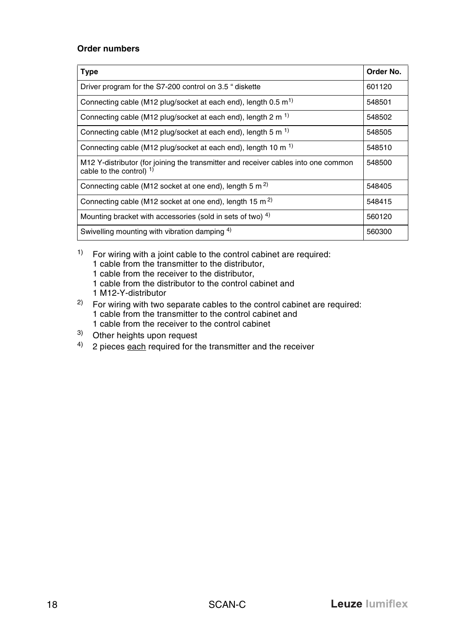#### **Order numbers**

| <b>Type</b>                                                                                                     | Order No. |
|-----------------------------------------------------------------------------------------------------------------|-----------|
| Driver program for the S7-200 control on 3.5 " diskette                                                         | 601120    |
| Connecting cable (M12 plug/socket at each end), length 0.5 m <sup>1)</sup>                                      | 548501    |
| Connecting cable (M12 plug/socket at each end), length 2 m <sup>1)</sup>                                        | 548502    |
| Connecting cable (M12 plug/socket at each end), length 5 m <sup>1)</sup>                                        | 548505    |
| Connecting cable (M12 plug/socket at each end), length 10 m <sup>1)</sup>                                       | 548510    |
| M12 Y-distributor (for joining the transmitter and receiver cables into one common<br>cable to the control) $1$ | 548500    |
| Connecting cable (M12 socket at one end), length 5 m <sup>2)</sup>                                              | 548405    |
| Connecting cable (M12 socket at one end), length 15 m <sup>2)</sup>                                             | 548415    |
| Mounting bracket with accessories (sold in sets of two) 4)                                                      | 560120    |
| Swivelling mounting with vibration damping 4)                                                                   | 560300    |

 $1)$  For wiring with a joint cable to the control cabinet are required: 1 cable from the transmitter to the distributor, 1 cable from the receiver to the distributor, 1 cable from the distributor to the control cabinet and 1 M12-Y-distributor

- 2) For wiring with two separate cables to the control cabinet are required: 1 cable from the transmitter to the control cabinet and 1 cable from the receiver to the control cabinet
- 3) Other heights upon request
- $4)$  2 pieces each required for the transmitter and the receiver